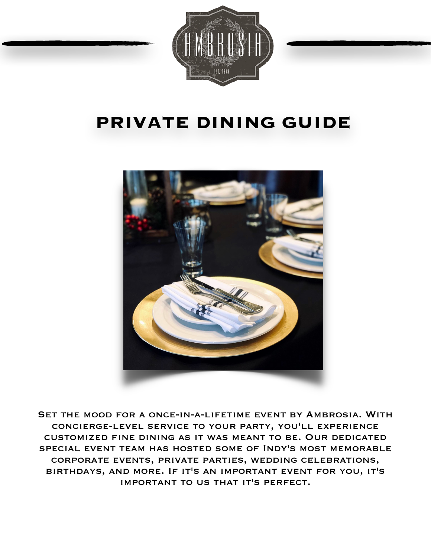

# **PRIVATE DINING GUIDE**



Set the mood for a once-in-a-lifetime event by Ambrosia. With concierge-level service to your party, you'll experience customized fine dining as it was meant to be. Our dedicated special event team has hosted some of Indy's most memorable corporate events, private parties, wedding celebrations, birthdays, and more. If it's an important event for you, it's important to us that it's perfect.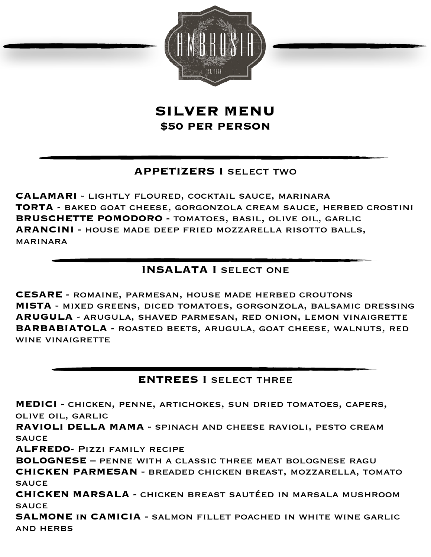

**SILVER MENU \$50 PER PERSON** 

## **APPETIZERS I** select two

**CALAMARI** - lightly floured, cocktail sauce, marinara **TORTA** - baked goat cheese, gorgonzola cream sauce, herbed crostini **BRUSCHETTE POMODORO** - tomatoes, basil, olive oil, garlic **ARANCINI** - house made deep fried mozzarella risotto balls, marinara

## **INSALATA I SELECT ONE**

**CESARE** - romaine, parmesan, house made herbed croutons **MISTA** - mixed greens, diced tomatoes, gorgonzola, balsamic dressing **ARUGULA** - arugula, shaved parmesan, red onion, lemon vinaigrette **BARBABIATOLA** - roasted beets, arugula, goat cheese, walnuts, red WINE VINAIGRETTE

### **ENTREES I** select three

**MEDICI** - chicken, penne, artichokes, sun dried tomatoes, capers, olive oil, garlic

**RAVIOLI DELLA MAMA** - spinach and cheese ravioli, pesto cream **SAUCE** 

**ALFREDO**- Pizzi family recipe

**BOLOGNESE** – penne with a classic three meat bolognese ragu

**CHICKEN PARMESAN** - breaded chicken breast, mozzarella, tomato **SAUCE** 

**CHICKEN MARSALA** - chicken breast sautéed in marsala mushroom **SAUCE** 

**SALMONE in CAMICIA** - salmon fillet poached in white wine garlic and herbs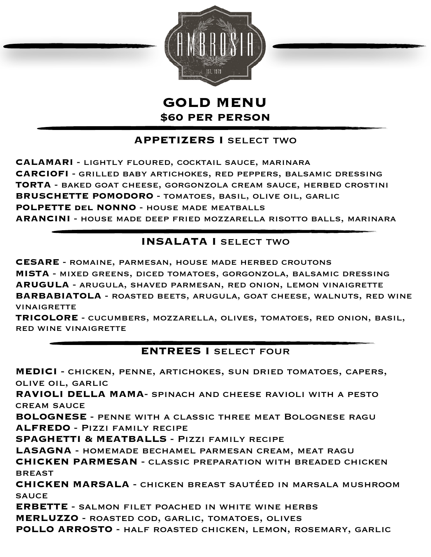

**GOLD MENU \$60 PER PERSON** 

## **APPETIZERS I** select two

**CALAMARI** - lightly floured, cocktail sauce, marinara **CARCIOFI** - grilled baby artichokes, red peppers, balsamic dressing **TORTA** - baked goat cheese, gorgonzola cream sauce, herbed crostini **BRUSCHETTE POMODORO** - tomatoes, basil, olive oil, garlic **POLPETTE del NONNO** - house made meatballs **ARANCINI** - house made deep fried mozzarella risotto balls, marinara

## **INSALATA I SELECT TWO**

**CESARE** - romaine, parmesan, house made herbed croutons **MISTA** - mixed greens, diced tomatoes, gorgonzola, balsamic dressing **ARUGULA** - arugula, shaved parmesan, red onion, lemon vinaigrette **BARBABIATOLA** - roasted beets, arugula, goat cheese, walnuts, red wine **VINAIGRETTE** 

**TRICOLORE** - cucumbers, mozzarella, olives, tomatoes, red onion, basil, red wine vinaigrette

## **ENTREES I** select four

**MEDICI** - chicken, penne, artichokes, sun dried tomatoes, capers, olive oil, garlic **RAVIOLI DELLA MAMA**- spinach and cheese ravioli with a pesto cream sauce **BOLOGNESE** - penne with a classic three meat Bolognese ragu **ALFREDO** - Pizzi family recipe **SPAGHETTI & MEATBALLS** - Pizzi family recipe **LASAGNA** - homemade bechamel parmesan cream, meat ragu **CHICKEN PARMESAN** - classic preparation with breaded chicken **BREAST CHICKEN MARSALA** - chicken breast sautéed in marsala mushroom **SAUCE ERBETTE** - salmon filet poached in white wine herbs **MERLUZZO** - roasted cod, garlic, tomatoes, olives **POLLO ARROSTO** - half roasted chicken, lemon, rosemary, garlic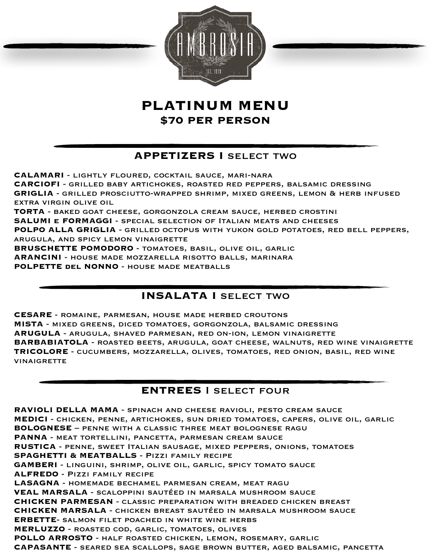

# **PLATINUM MENU \$70 PER PERSON**

## **APPETIZERS I** select two

**CALAMARI** - lightly floured, cocktail sauce, mari-nara **CARCIOFI** - grilled baby artichokes, roasted red peppers, balsamic dressing **GRIGLIA** - grilled prosciutto-wrapped shrimp, mixed greens, lemon & herb infused extra virgin olive oil **TORTA** - baked goat cheese, gorgonzola cream sauce, herbed crostini **SALUMI e FORMAGGI** - special selection of Italian meats and cheeses **POLPO ALLA GRIGLIA** - grilled octopus with yukon gold potatoes, red bell peppers, arugula, and spicy lemon vinaigrette **BRUSCHETTE POMODORO** - tomatoes, basil, olive oil, garlic **ARANCINI** - house made mozzarella risotto balls, marinara **POLPETTE del NONNO** - house made meatballs

## **INSALATA I SELECT TWO**

**CESARE** - romaine, parmesan, house made herbed croutons **MISTA** - mixed greens, diced tomatoes, gorgonzola, balsamic dressing **ARUGULA** - arugula, shaved parmesan, red on-ion, lemon vinaigrette **BARBABIATOLA** - roasted beets, arugula, goat cheese, walnuts, red wine vinaigrette **TRICOLORE** - cucumbers, mozzarella, olives, tomatoes, red onion, basil, red wine **VINAIGRETTE** 

## **ENTREES** I select four

**RAVIOLI DELLA MAMA** - spinach and cheese ravioli, pesto cream sauce **MEDICI** - chicken, penne, artichokes, sun dried tomatoes, capers, olive oil, garlic **BOLOGNESE** – penne with a classic three meat bolognese ragu **PANNA** - meat tortellini, pancetta, parmesan cream sauce **RUSTICA** - penne, sweet Italian sausage, mixed peppers, onions, tomatoes **SPAGHETTI & MEATBALLS** - Pizzi family recipe **GAMBERI** - linguini, shrimp, olive oil, garlic, spicy tomato sauce **ALFREDO** - Pizzi family recipe **LASAGNA** - homemade bechamel parmesan cream, meat ragu **VEAL MARSALA** - scaloppini sautéed in marsala mushroom sauce **CHICKEN PARMESAN** - classic preparation with breaded chicken breast **CHICKEN MARSALA** - chicken breast sautéed in marsala mushroom sauce **ERBETTE**- salmon filet poached in white wine herbs **MERLUZZO** - roasted cod, garlic, tomatoes, olives **POLLO ARROSTO** - half roasted chicken, lemon, rosemary, garlic **CAPASANTE** - seared sea scallops, sage brown butter, aged balsamic, pancetta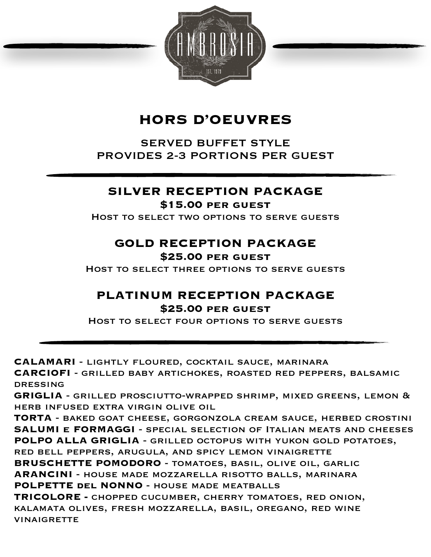

# **HORS D'OEUVRES**

SERVED BUFFET STYLE PROVIDES 2-3 PORTIONS PER GUEST

## **SILVER RECEPTION PACKAGE**

### **\$15.00 per guest**

Host to select two options to serve guests

# **GOLD RECEPTION PACKAGE**

### **\$25.00 per guest**

Host to select three options to serve guests

## **PLATINUM RECEPTION PACKAGE \$25.00 per guest**

Host to select four options to serve guests

**CALAMARI** - lightly floured, cocktail sauce, marinara

**CARCIOFI** - grilled baby artichokes, roasted red peppers, balsamic dressing

**GRIGLIA** - grilled prosciutto-wrapped shrimp, mixed greens, lemon & herb infused extra virgin olive oil

**TORTA** - baked goat cheese, gorgonzola cream sauce, herbed crostini **SALUMI e FORMAGGI** - special selection of Italian meats and cheeses **POLPO ALLA GRIGLIA** - grilled octopus with yukon gold potatoes, red bell peppers, arugula, and spicy lemon vinaigrette

**BRUSCHETTE POMODORO** - tomatoes, basil, olive oil, garlic **ARANCINI** - house made mozzarella risotto balls, marinara **POLPETTE del NONNO** - house made meatballs

**TRICOLORE -** chopped cucumber, cherry tomatoes, red onion, kalamata olives, fresh mozzarella, basil, oregano, red wine **VINAIGRETTE**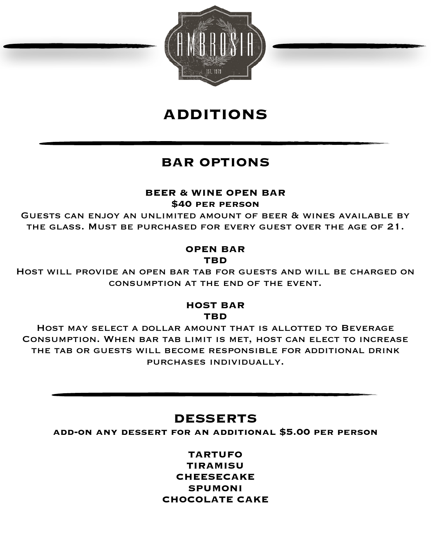

# **ADDITIONS**

# **BAR OPTIONS**

## **BEER & WINE OPEN BAR**

### **\$40 per person**

Guests can enjoy an unlimited amount of beer & wines available by the glass. Must be purchased for every guest over the age of 21.

### **OPEN BAR TBD**

Host will provide an open bar tab for guests and will be charged on consumption at the end of the event.

## **HOST BAR TBD**

Host may select a dollar amount that is allotted to Beverage Consumption. When bar tab limit is met, host can elect to increase the tab or guests will become responsible for additional drink purchases individually.

## **DESSERTS**

**add-on any dessert for an additional \$5.00 per person** 

**TARTUFO TIRAMISU CHEESECAKE SPUMONI CHOCOLATE CAKE**